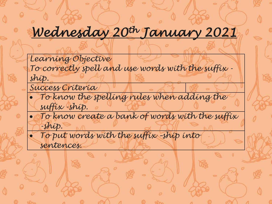### *Wednesday 20th January 2021*

*Learning Objective To correctly spell and use words with the suffix ship.* 

*Success Criteria*

- *To know the spelling rules when adding the suffix -ship.*
- *To know create a bank of words with the suffix -ship.*
- *To put words with the suffix –ship into sentences.*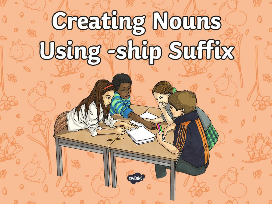# **Creating Nouns** Using -ship Suffix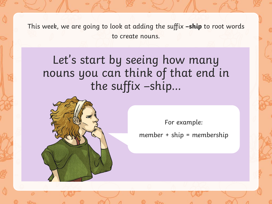This week, we are going to look at adding the suffix **–ship** to root words to create nouns.

Let's start by seeing how many nouns you can think of that end in the suffix –ship…



For example:

member + ship = membership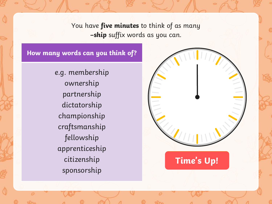You have **five minutes** to think of as many **–ship** suffix words as you can.

**Start Time's Up!**

#### **How many words can you think of?**

e.g. membership ownership partnership dictatorship championship craftsmanship fellowship apprenticeship citizenship sponsorship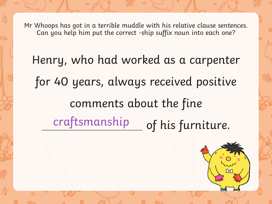Henry, who had worked as a carpenter for 40 years, always received positive comments about the fine craftsmanship of his furniture.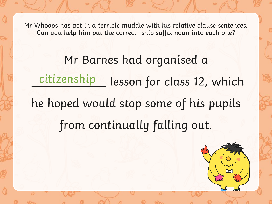Mr Barnes had organised a lesson for class 12, which he hoped would stop some of his pupils from continually falling out. citizenship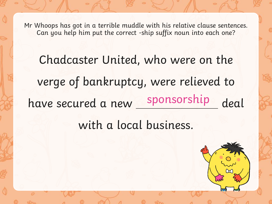Chadcaster United, who were on the verge of bankruptcy, were relieved to have secured a new sponsorship deal sponsorship

with a local business.

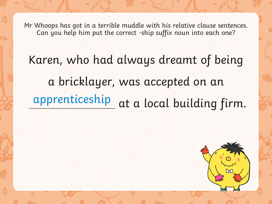Karen, who had always dreamt of being a bricklayer, was accepted on an apprenticeship at a local building firm.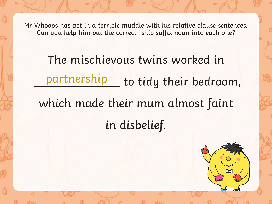The mischievous twins worked in partnership to tidy their bedroom, which made their mum almost faint in disbelief.